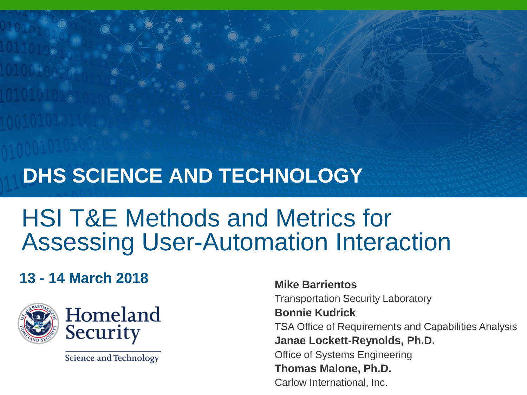#### **DHS SCIENCE AND TECHNOLOGY**

#### HSI T&E Methods and Metrics for Assessing User-Automation Interaction

#### **13 - 14 March 2018 Mike Barrientos**



**Science and Technology** 

Transportation Security Laboratory **Bonnie Kudrick** TSA Office of Requirements and Capabilities Analysis **Janae Lockett-Reynolds, Ph.D.** Office of Systems Engineering **Thomas Malone, Ph.D.** Carlow International, Inc.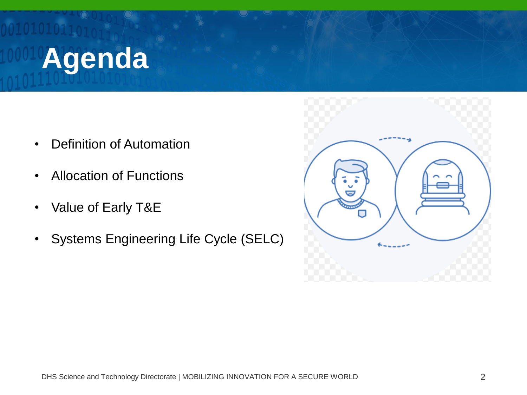## **Agenda**

- Definition of Automation
- Allocation of Functions
- Value of Early T&E
- Systems Engineering Life Cycle (SELC)

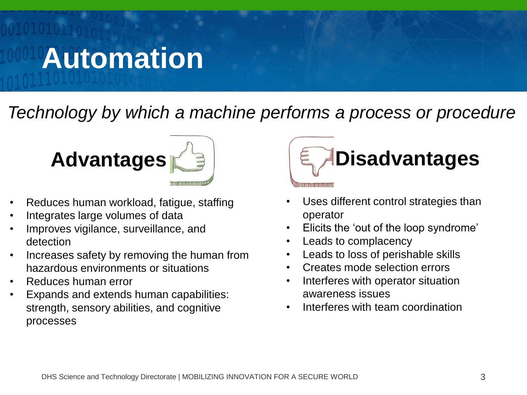## **Automation**

*Technology by which a machine performs a process or procedure*



- Reduces human workload, fatigue, staffing
- Integrates large volumes of data
- Improves vigilance, surveillance, and detection
- Increases safety by removing the human from hazardous environments or situations
- Reduces human error
- Expands and extends human capabilities: strength, sensory abilities, and cognitive processes



- Uses different control strategies than operator
- Elicits the 'out of the loop syndrome'
- Leads to complacency
- Leads to loss of perishable skills
- Creates mode selection errors
- Interferes with operator situation awareness issues
- Interferes with team coordination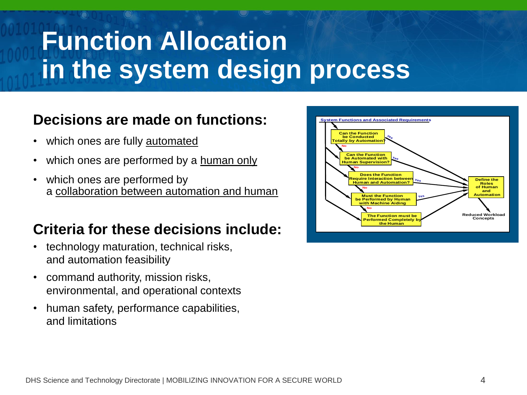#### **Function Allocation in the system design process**

#### **Decisions are made on functions:**

- which ones are fully automated
- which ones are performed by a human only
- which ones are performed by a collaboration between automation and human

#### **Criteria for these decisions include:**

- technology maturation, technical risks, and automation feasibility
- command authority, mission risks, environmental, and operational contexts
- human safety, performance capabilities, and limitations

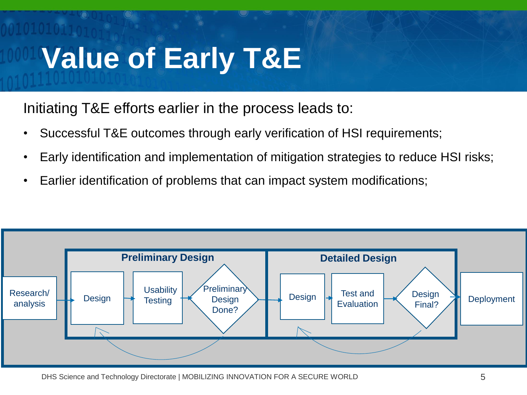## **Value of Early T&E**

Initiating T&E efforts earlier in the process leads to:

- Successful T&E outcomes through early verification of HSI requirements;
- Early identification and implementation of mitigation strategies to reduce HSI risks;
- Earlier identification of problems that can impact system modifications;



DHS Science and Technology Directorate | MOBILIZING INNOVATION FOR A SECURE WORLD 5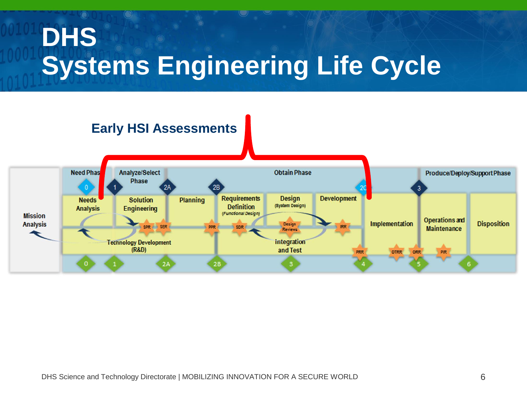### **DHS Systems Engineering Life Cycle**

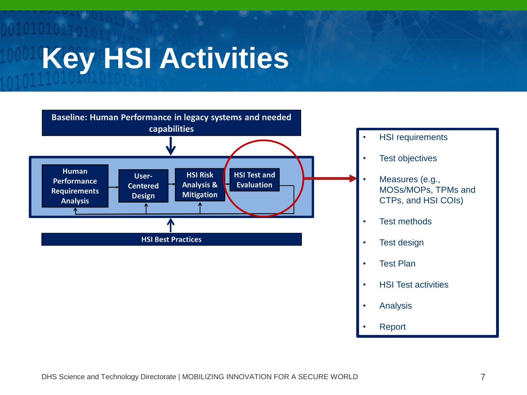# **Key HSI Activities**



- **HSI requirements**
- **Test objectives**
- Measures (e.g., MOSs/MOPs, TPMs and CTPs, and HSI COIs)
- **Test methods**
- **Test design**
- **Test Plan**
- HSI Test activities
- **Analysis**
- **Report**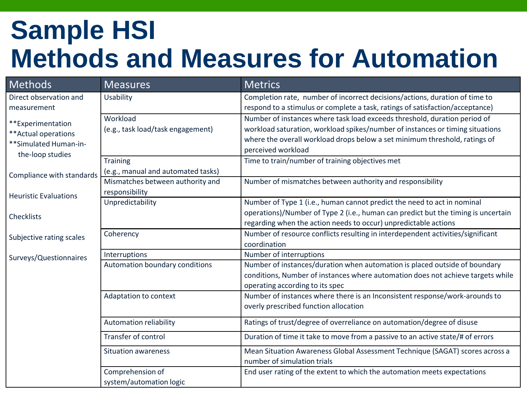#### **Sample HSI Methods and Measures for Automation**

| Methods                                                                                | <b>Measures</b>                                    | <b>Metrics</b>                                                                                                                                                                                                                                                 |
|----------------------------------------------------------------------------------------|----------------------------------------------------|----------------------------------------------------------------------------------------------------------------------------------------------------------------------------------------------------------------------------------------------------------------|
| Direct observation and                                                                 | Usability                                          | Completion rate, number of incorrect decisions/actions, duration of time to                                                                                                                                                                                    |
| measurement                                                                            |                                                    | respond to a stimulus or complete a task, ratings of satisfaction/acceptance)                                                                                                                                                                                  |
| **Experimentation<br>** Actual operations<br>**Simulated Human-in-<br>the-loop studies | Workload<br>(e.g., task load/task engagement)      | Number of instances where task load exceeds threshold, duration period of<br>workload saturation, workload spikes/number of instances or timing situations<br>where the overall workload drops below a set minimum threshold, ratings of<br>perceived workload |
|                                                                                        | <b>Training</b>                                    | Time to train/number of training objectives met                                                                                                                                                                                                                |
| Compliance with standards<br><b>Heuristic Evaluations</b>                              | (e.g., manual and automated tasks)                 |                                                                                                                                                                                                                                                                |
|                                                                                        | Mismatches between authority and<br>responsibility | Number of mismatches between authority and responsibility                                                                                                                                                                                                      |
|                                                                                        | Unpredictability                                   | Number of Type 1 (i.e., human cannot predict the need to act in nominal                                                                                                                                                                                        |
| Checklists                                                                             |                                                    | operations)/Number of Type 2 (i.e., human can predict but the timing is uncertain<br>regarding when the action needs to occur) unpredictable actions                                                                                                           |
| Subjective rating scales                                                               | Coherency                                          | Number of resource conflicts resulting in interdependent activities/significant<br>coordination                                                                                                                                                                |
| Surveys/Questionnaires                                                                 | Interruptions                                      | Number of interruptions                                                                                                                                                                                                                                        |
|                                                                                        | Automation boundary conditions                     | Number of instances/duration when automation is placed outside of boundary<br>conditions, Number of instances where automation does not achieve targets while<br>operating according to its spec                                                               |
|                                                                                        | Adaptation to context                              | Number of instances where there is an Inconsistent response/work-arounds to<br>overly prescribed function allocation                                                                                                                                           |
|                                                                                        | <b>Automation reliability</b>                      | Ratings of trust/degree of overreliance on automation/degree of disuse                                                                                                                                                                                         |
|                                                                                        | Transfer of control                                | Duration of time it take to move from a passive to an active state/# of errors                                                                                                                                                                                 |
|                                                                                        | <b>Situation awareness</b>                         | Mean Situation Awareness Global Assessment Technique (SAGAT) scores across a<br>number of simulation trials                                                                                                                                                    |
|                                                                                        | Comprehension of                                   | End user rating of the extent to which the automation meets expectations                                                                                                                                                                                       |
|                                                                                        | system/automation logic                            |                                                                                                                                                                                                                                                                |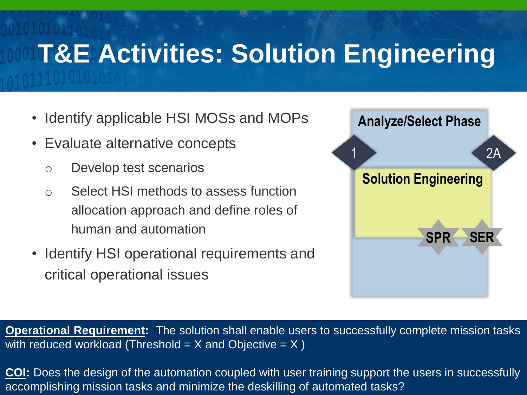#### **T&E Activities: Solution Engineering**

- Identify applicable HSI MOSs and MOPs
- Evaluate alternative concepts
	- o Develop test scenarios
	- o Select HSI methods to assess function allocation approach and define roles of human and automation
- Identify HSI operational requirements and critical operational issues



**Operational Requirement:** The solution shall enable users to successfully complete mission tasks with reduced workload (Threshold  $=$  X and Objective  $=$  X)

<u>COI</u>: Does the design of the automation coupled with user training support the users in successfully accomplishing mission tasks and minimize the deskilling of automated tasks?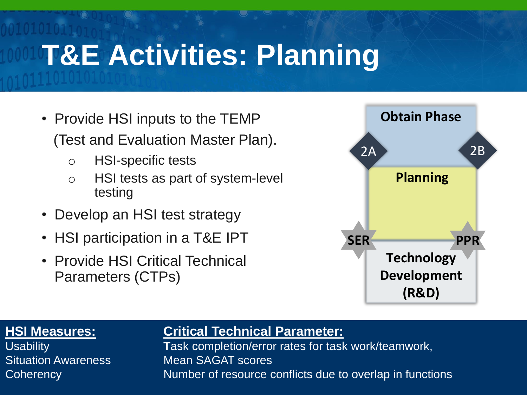## **T&E Activities: Planning**

- Provide HSI inputs to the TEMP (Test and Evaluation Master Plan).
	- o HSI-specific tests
	- o HSI tests as part of system-level testing
- Develop an HSI test strategy
- HSI participation in a T&E IPT
- Provide HSI Critical Technical Parameters (CTPs)



Situation Awareness Mean SAGAT scores

#### **HSI Measures: Critical Technical Parameter:**

Coherency **Example 2** Number of resource conflicts due to overlap in functions Usability **T**ask completion/error rates for task work/teamwork,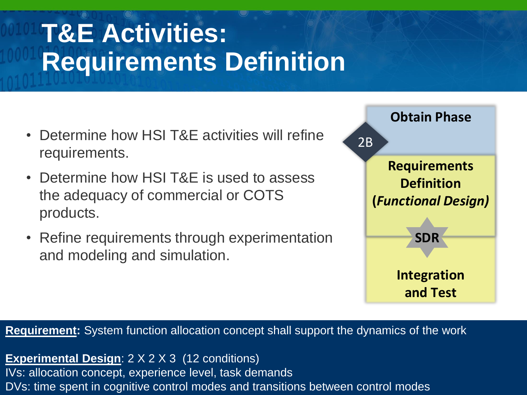#### **T&E Activities: Requirements Definition**

- Determine how HSI T&E activities will refine requirements.
- Determine how HSI T&E is used to assess the adequacy of commercial or COTS products.
- Refine requirements through experimentation and modeling and simulation.



**Requirement:** System function allocation concept shall support the dynamics of the work

IVs: allocation concept, experience level, task demands world 11 a secure world 11 a secure world 11 a secure **Experimental Design**: 2 X 2 X 3 (12 conditions) DVs: time spent in cognitive control modes and transitions between control modes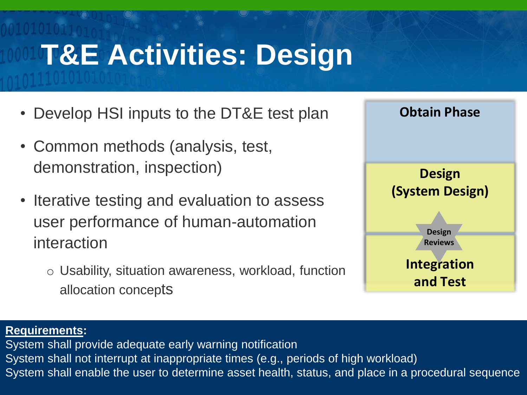# **T&E Activities: Design**

- Develop HSI inputs to the DT&E test plan
- Common methods (analysis, test, demonstration, inspection)
- Iterative testing and evaluation to assess user performance of human-automation interaction
	- o Usability, situation awareness, workload, function allocation concepts



#### **Requirements:**

System shall enable the user to determine asset health, status, and place in a procedural sequence System shall provide adequate early warning notification System shall not interrupt at inappropriate times (e.g., periods of high workload)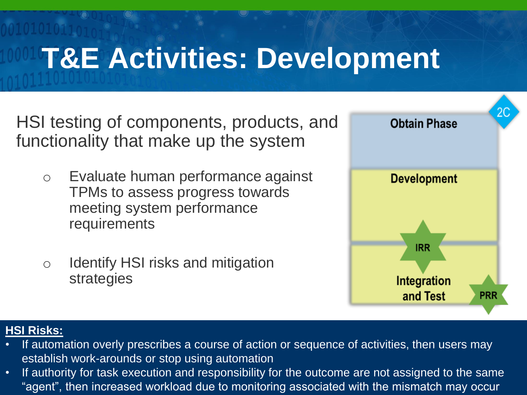#### **T&E Activities: Development**

HSI testing of components, products, and functionality that make up the system

- o Evaluate human performance against TPMs to assess progress towards meeting system performance requirements
- o Identify HSI risks and mitigation strategies



#### **HSI Risks:**

- If automation overly prescribes a course of action or sequence of activities, then users may establish work-arounds or stop using automation
- If authority for task execution and responsibility for the outcome are not assigned to the same "agent", then increased workload due to monitoring associated with the mismatch may occur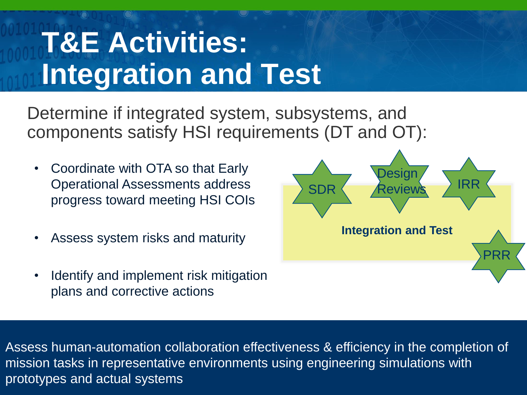## **T&E Activities: Integration and Test**

Determine if integrated system, subsystems, and components satisfy HSI requirements (DT and OT):

- Coordinate with OTA so that Early Operational Assessments address progress toward meeting HSI COIs
- Assess system risks and maturity
- Identify and implement risk mitigation plans and corrective actions



prototypes and actual systems and  $\overline{\mathsf{C}}$  and  $\overline{\mathsf{C}}$  and  $\overline{\mathsf{C}}$  and  $\overline{\mathsf{C}}$  and  $\overline{\mathsf{C}}$  and  $\overline{\mathsf{C}}$  and  $\overline{\mathsf{C}}$  and  $\overline{\mathsf{C}}$  and  $\overline{\mathsf{C}}$  and  $\overline{\mathsf{C}}$  and  $\overline{\mathsf{C}}$  and  $\overline{\mathsf{C}}$  Assess human-automation collaboration effectiveness & efficiency in the completion of mission tasks in representative environments using engineering simulations with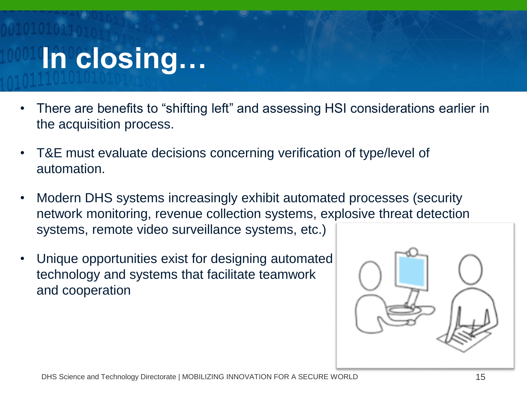# **In closing…**

- There are benefits to "shifting left" and assessing HSI considerations earlier in the acquisition process.
- T&E must evaluate decisions concerning verification of type/level of automation.
- Modern DHS systems increasingly exhibit automated processes (security network monitoring, revenue collection systems, explosive threat detection systems, remote video surveillance systems, etc.)
- Unique opportunities exist for designing automated technology and systems that facilitate teamwork and cooperation

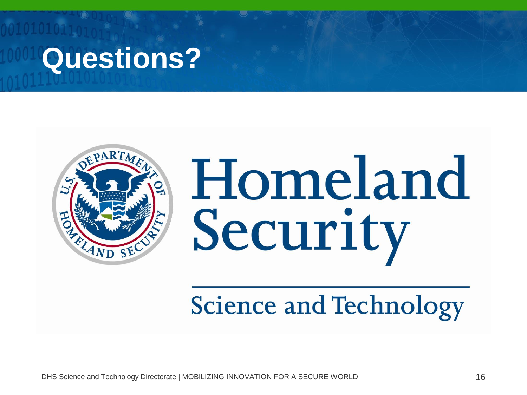# **Questions?**



Homeland Security

**Science and Technology** 

DHS Science and Technology Directorate | MOBILIZING INNOVATION FOR A SECURE WORLD 16